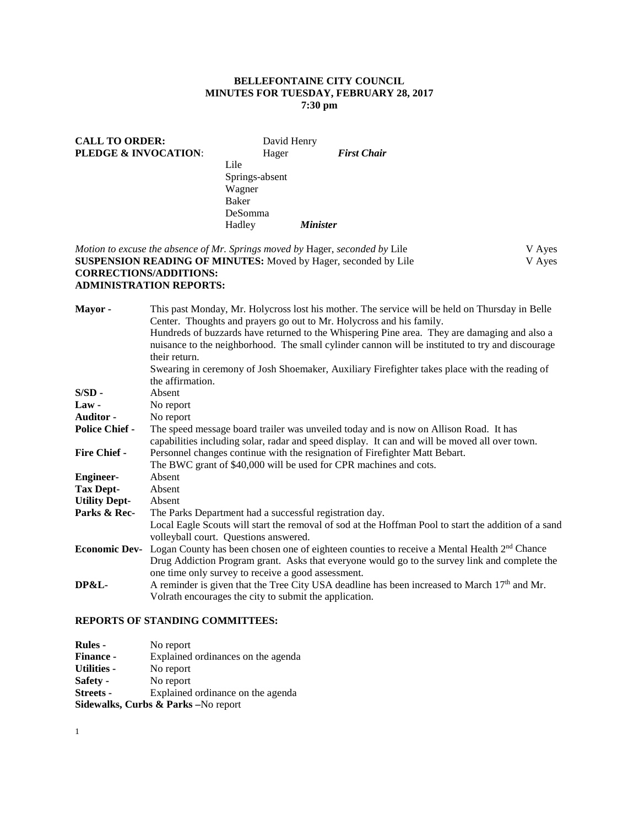# **BELLEFONTAINE CITY COUNCIL MINUTES FOR TUESDAY, FEBRUARY 28, 2017 7:30 pm**

| <b>CALL TO ORDER:</b><br>PLEDGE & INVOCATION: | David Henry<br>Hager |                        | <b>First Chair</b> |
|-----------------------------------------------|----------------------|------------------------|--------------------|
|                                               | Lile                 |                        |                    |
|                                               | Springs-absent       |                        |                    |
|                                               | Wagner               |                        |                    |
|                                               | Baker                |                        |                    |
|                                               | DeSomma              |                        |                    |
|                                               | Hadley               | <i><b>Minister</b></i> |                    |
|                                               |                      |                        |                    |

*Motion to excuse the absence of Mr. Springs moved by Hager, seconded by Lile* V Ayes<br> **SUSPENSION READING OF MINUTES:** Moved by Hager, seconded by Lile V Ayes **SUSPENSION READING OF MINUTES:** Moved by Hager, seconded by Lile **CORRECTIONS/ADDITIONS:**

## **ADMINISTRATION REPORTS:**

| Mayor -               | This past Monday, Mr. Holycross lost his mother. The service will be held on Thursday in Belle                                                                                          |
|-----------------------|-----------------------------------------------------------------------------------------------------------------------------------------------------------------------------------------|
|                       | Center. Thoughts and prayers go out to Mr. Holycross and his family.                                                                                                                    |
|                       | Hundreds of buzzards have returned to the Whispering Pine area. They are damaging and also a                                                                                            |
|                       | nuisance to the neighborhood. The small cylinder cannon will be instituted to try and discourage                                                                                        |
|                       | their return.                                                                                                                                                                           |
|                       | Swearing in ceremony of Josh Shoemaker, Auxiliary Firefighter takes place with the reading of                                                                                           |
|                       | the affirmation.                                                                                                                                                                        |
| $S/SD -$              | Absent                                                                                                                                                                                  |
| $Law -$               | No report                                                                                                                                                                               |
| <b>Auditor -</b>      | No report                                                                                                                                                                               |
| <b>Police Chief -</b> | The speed message board trailer was unveiled today and is now on Allison Road. It has<br>capabilities including solar, radar and speed display. It can and will be moved all over town. |
| <b>Fire Chief -</b>   | Personnel changes continue with the resignation of Firefighter Matt Bebart.                                                                                                             |
|                       | The BWC grant of \$40,000 will be used for CPR machines and cots.                                                                                                                       |
| <b>Engineer-</b>      | Absent                                                                                                                                                                                  |
| <b>Tax Dept-</b>      | Absent                                                                                                                                                                                  |
| <b>Utility Dept-</b>  | Absent                                                                                                                                                                                  |
| Parks & Rec-          | The Parks Department had a successful registration day.                                                                                                                                 |
|                       | Local Eagle Scouts will start the removal of sod at the Hoffman Pool to start the addition of a sand                                                                                    |
|                       | volleyball court. Questions answered.                                                                                                                                                   |
| <b>Economic Dev-</b>  | Logan County has been chosen one of eighteen counties to receive a Mental Health 2 <sup>nd</sup> Chance                                                                                 |
|                       | Drug Addiction Program grant. Asks that everyone would go to the survey link and complete the                                                                                           |
|                       | one time only survey to receive a good assessment.                                                                                                                                      |
| DP&L-                 | A reminder is given that the Tree City USA deadline has been increased to March $17th$ and Mr.                                                                                          |
|                       | Volrath encourages the city to submit the application.                                                                                                                                  |

# **REPORTS OF STANDING COMMITTEES:**

| <b>Rules -</b>                      | No report                          |  |
|-------------------------------------|------------------------------------|--|
| <b>Finance -</b>                    | Explained ordinances on the agenda |  |
| <b>Utilities -</b>                  | No report                          |  |
| Safety -                            | No report                          |  |
| <b>Streets -</b>                    | Explained ordinance on the agenda  |  |
| Sidewalks, Curbs & Parks -No report |                                    |  |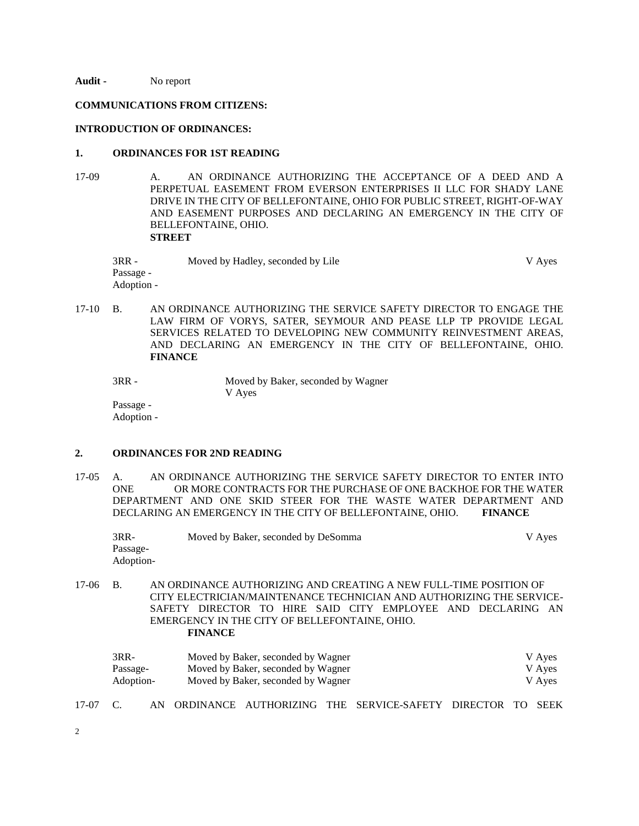**Audit -** No report

#### **COMMUNICATIONS FROM CITIZENS:**

#### **INTRODUCTION OF ORDINANCES:**

## **1. ORDINANCES FOR 1ST READING**

17-09 A. AN ORDINANCE AUTHORIZING THE ACCEPTANCE OF A DEED AND A PERPETUAL EASEMENT FROM EVERSON ENTERPRISES II LLC FOR SHADY LANE DRIVE IN THE CITY OF BELLEFONTAINE, OHIO FOR PUBLIC STREET, RIGHT-OF-WAY AND EASEMENT PURPOSES AND DECLARING AN EMERGENCY IN THE CITY OF BELLEFONTAINE, OHIO. **STREET**

| 3RR -      | Moved by Hadley, seconded by Lile | V Aves |
|------------|-----------------------------------|--------|
| Passage -  |                                   |        |
| Adoption - |                                   |        |

17-10 B. AN ORDINANCE AUTHORIZING THE SERVICE SAFETY DIRECTOR TO ENGAGE THE LAW FIRM OF VORYS, SATER, SEYMOUR AND PEASE LLP TP PROVIDE LEGAL SERVICES RELATED TO DEVELOPING NEW COMMUNITY REINVESTMENT AREAS, AND DECLARING AN EMERGENCY IN THE CITY OF BELLEFONTAINE, OHIO. **FINANCE**

```
3RR - Moved by Baker, seconded by Wagner
                  V Ayes
Passage -
```
Adoption -

# **2. ORDINANCES FOR 2ND READING**

17-05 A. AN ORDINANCE AUTHORIZING THE SERVICE SAFETY DIRECTOR TO ENTER INTO ONE OR MORE CONTRACTS FOR THE PURCHASE OF ONE BACKHOE FOR THE WATER OR MORE CONTRACTS FOR THE PURCHASE OF ONE BACKHOE FOR THE WATER DEPARTMENT AND ONE SKID STEER FOR THE WASTE WATER DEPARTMENT AND DECLARING AN EMERGENCY IN THE CITY OF BELLEFONTAINE, OHIO. **FINANCE**

| 3RR-      | Moved by Baker, seconded by DeSomma | V Ayes |
|-----------|-------------------------------------|--------|
| Passage-  |                                     |        |
| Adoption- |                                     |        |

17-06 B. AN ORDINANCE AUTHORIZING AND CREATING A NEW FULL-TIME POSITION OF CITY ELECTRICIAN/MAINTENANCE TECHNICIAN AND AUTHORIZING THE SERVICE-SAFETY DIRECTOR TO HIRE SAID CITY EMPLOYEE AND DECLARING AN EMERGENCY IN THE CITY OF BELLEFONTAINE, OHIO. **FINANCE**

| 3RR-      | Moved by Baker, seconded by Wagner | V Ayes |
|-----------|------------------------------------|--------|
| Passage-  | Moved by Baker, seconded by Wagner | V Ayes |
| Adoption- | Moved by Baker, seconded by Wagner | V Ayes |

- 17-07 C. AN ORDINANCE AUTHORIZING THE SERVICE-SAFETY DIRECTOR TO SEEK
- 2